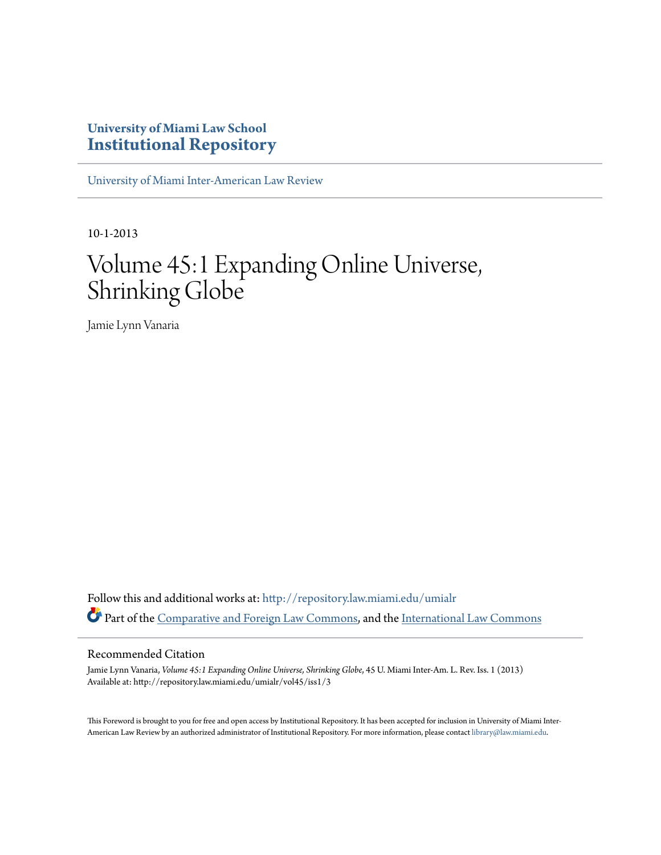## **University of Miami Law School [Institutional Repository](http://repository.law.miami.edu?utm_source=repository.law.miami.edu%2Fumialr%2Fvol45%2Fiss1%2F3&utm_medium=PDF&utm_campaign=PDFCoverPages)**

[University of Miami Inter-American Law Review](http://repository.law.miami.edu/umialr?utm_source=repository.law.miami.edu%2Fumialr%2Fvol45%2Fiss1%2F3&utm_medium=PDF&utm_campaign=PDFCoverPages)

10-1-2013

# Volume 45:1 Expanding Online Universe, Shrinking Globe

Jamie Lynn Vanaria

Follow this and additional works at: [http://repository.law.miami.edu/umialr](http://repository.law.miami.edu/umialr?utm_source=repository.law.miami.edu%2Fumialr%2Fvol45%2Fiss1%2F3&utm_medium=PDF&utm_campaign=PDFCoverPages) Part of the [Comparative and Foreign Law Commons](http://network.bepress.com/hgg/discipline/836?utm_source=repository.law.miami.edu%2Fumialr%2Fvol45%2Fiss1%2F3&utm_medium=PDF&utm_campaign=PDFCoverPages), and the [International Law Commons](http://network.bepress.com/hgg/discipline/609?utm_source=repository.law.miami.edu%2Fumialr%2Fvol45%2Fiss1%2F3&utm_medium=PDF&utm_campaign=PDFCoverPages)

### Recommended Citation

Jamie Lynn Vanaria, *Volume 45:1 Expanding Online Universe, Shrinking Globe*, 45 U. Miami Inter-Am. L. Rev. Iss. 1 (2013) Available at: http://repository.law.miami.edu/umialr/vol45/iss1/3

This Foreword is brought to you for free and open access by Institutional Repository. It has been accepted for inclusion in University of Miami Inter-American Law Review by an authorized administrator of Institutional Repository. For more information, please contact [library@law.miami.edu](mailto:library@law.miami.edu).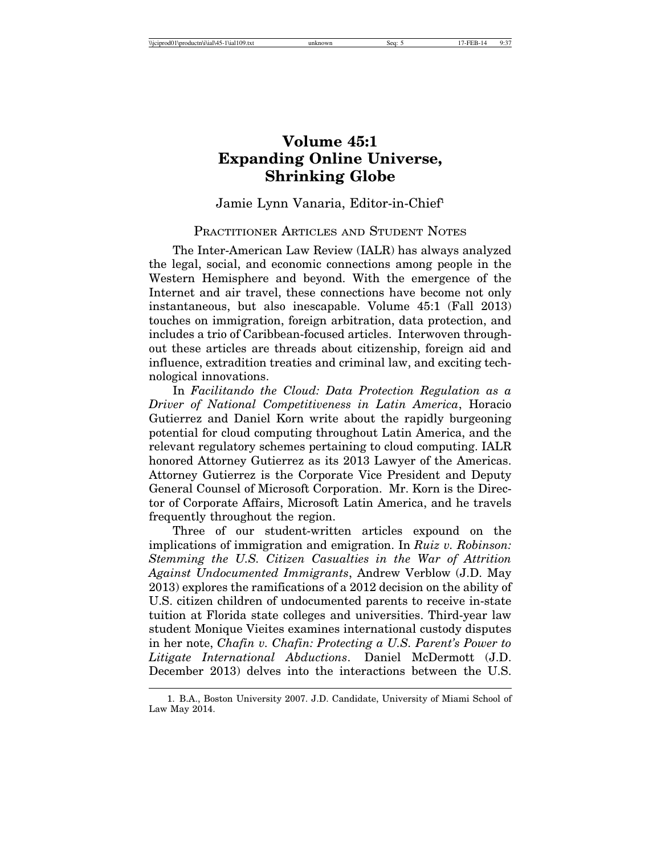## **Volume 45:1 Expanding Online Universe, Shrinking Globe**

## Jamie Lynn Vanaria, Editor-in-Chief1

## PRACTITIONER ARTICLES AND STUDENT NOTES

The Inter-American Law Review (IALR) has always analyzed the legal, social, and economic connections among people in the Western Hemisphere and beyond. With the emergence of the Internet and air travel, these connections have become not only instantaneous, but also inescapable. Volume 45:1 (Fall 2013) touches on immigration, foreign arbitration, data protection, and includes a trio of Caribbean-focused articles. Interwoven throughout these articles are threads about citizenship, foreign aid and influence, extradition treaties and criminal law, and exciting technological innovations.

In *Facilitando the Cloud: Data Protection Regulation as a Driver of National Competitiveness in Latin America*, Horacio Gutierrez and Daniel Korn write about the rapidly burgeoning potential for cloud computing throughout Latin America, and the relevant regulatory schemes pertaining to cloud computing. IALR honored Attorney Gutierrez as its 2013 Lawyer of the Americas. Attorney Gutierrez is the Corporate Vice President and Deputy General Counsel of Microsoft Corporation. Mr. Korn is the Director of Corporate Affairs, Microsoft Latin America, and he travels frequently throughout the region.

Three of our student-written articles expound on the implications of immigration and emigration. In *Ruiz v. Robinson: Stemming the U.S. Citizen Casualties in the War of Attrition Against Undocumented Immigrants*, Andrew Verblow (J.D. May 2013) explores the ramifications of a 2012 decision on the ability of U.S. citizen children of undocumented parents to receive in-state tuition at Florida state colleges and universities. Third-year law student Monique Vieites examines international custody disputes in her note, *Chafin v. Chafin: Protecting a U.S. Parent's Power to Litigate International Abductions*. Daniel McDermott (J.D. December 2013) delves into the interactions between the U.S.

<sup>1.</sup> B.A., Boston University 2007. J.D. Candidate, University of Miami School of Law May 2014.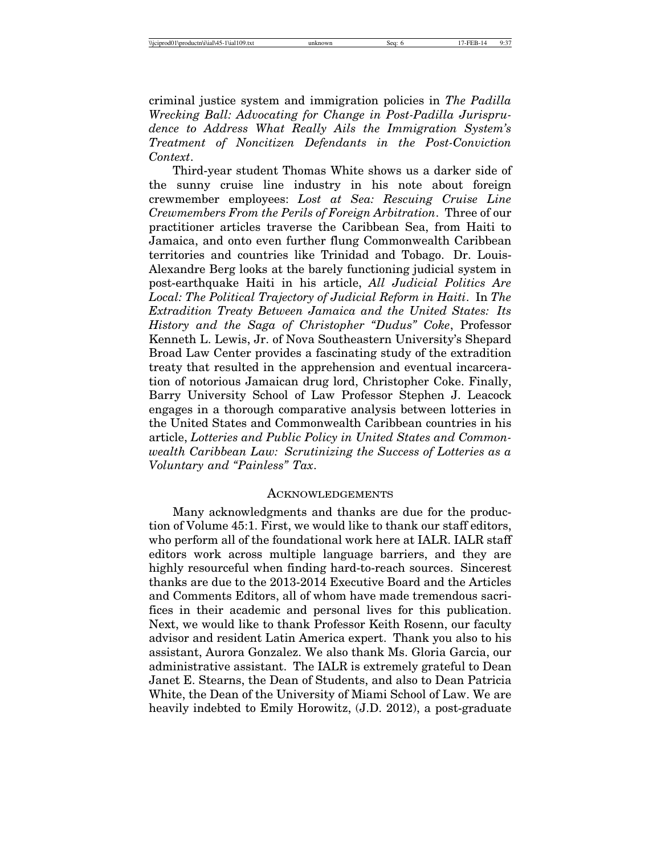criminal justice system and immigration policies in *The Padilla Wrecking Ball: Advocating for Change in Post-Padilla Jurisprudence to Address What Really Ails the Immigration System's Treatment of Noncitizen Defendants in the Post-Conviction Context*.

Third-year student Thomas White shows us a darker side of the sunny cruise line industry in his note about foreign crewmember employees: *Lost at Sea: Rescuing Cruise Line Crewmembers From the Perils of Foreign Arbitration*. Three of our practitioner articles traverse the Caribbean Sea, from Haiti to Jamaica, and onto even further flung Commonwealth Caribbean territories and countries like Trinidad and Tobago. Dr. Louis-Alexandre Berg looks at the barely functioning judicial system in post-earthquake Haiti in his article, *All Judicial Politics Are Local: The Political Trajectory of Judicial Reform in Haiti*. In *The Extradition Treaty Between Jamaica and the United States: Its History and the Saga of Christopher "Dudus" Coke*, Professor Kenneth L. Lewis, Jr. of Nova Southeastern University's Shepard Broad Law Center provides a fascinating study of the extradition treaty that resulted in the apprehension and eventual incarceration of notorious Jamaican drug lord, Christopher Coke. Finally, Barry University School of Law Professor Stephen J. Leacock engages in a thorough comparative analysis between lotteries in the United States and Commonwealth Caribbean countries in his article, *Lotteries and Public Policy in United States and Commonwealth Caribbean Law: Scrutinizing the Success of Lotteries as a Voluntary and "Painless" Tax*.

#### **ACKNOWLEDGEMENTS**

Many acknowledgments and thanks are due for the production of Volume 45:1. First, we would like to thank our staff editors, who perform all of the foundational work here at IALR. IALR staff editors work across multiple language barriers, and they are highly resourceful when finding hard-to-reach sources. Sincerest thanks are due to the 2013-2014 Executive Board and the Articles and Comments Editors, all of whom have made tremendous sacrifices in their academic and personal lives for this publication. Next, we would like to thank Professor Keith Rosenn, our faculty advisor and resident Latin America expert. Thank you also to his assistant, Aurora Gonzalez. We also thank Ms. Gloria Garcia, our administrative assistant. The IALR is extremely grateful to Dean Janet E. Stearns, the Dean of Students, and also to Dean Patricia White, the Dean of the University of Miami School of Law. We are heavily indebted to Emily Horowitz, (J.D. 2012), a post-graduate